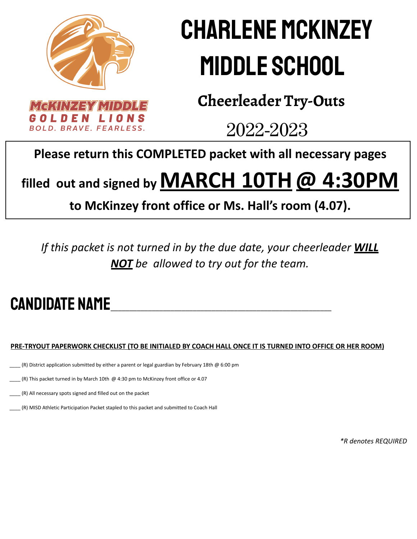

# Charlene McKinzey Middle School

**Cheerleader Try-Outs**

2022-2023

#### **Please return this COMPLETED packet with all necessary pages**

### **filled out and signed byMARCH 10TH@ 4:30PM**

#### **to McKinzey front office or Ms. Hall's room (4.07).**

*If this packet is not turned in by the due date, your cheerleader WILL NOT be allowed to try out for the team.*

### CANDIDATE NAME

#### PRE-TRYOUT PAPERWORK CHECKLIST (TO BE INITIALED BY COACH HALL ONCE IT IS TURNED INTO OFFICE OR HER ROOM)

\_\_\_\_ (R) District application submitted by either a parent or legal guardian by February 18th @ 6:00 pm

 $_{\cdot}$  (R) This packet turned in by March 10th @ 4:30 pm to McKinzey front office or 4.07

\_\_\_\_ (R) All necessary spots signed and filled out on the packet

\_\_\_\_ (R) MISD Athletic Participation Packet stapled to this packet and submitted to Coach Hall

*\*R denotes REQUIRED*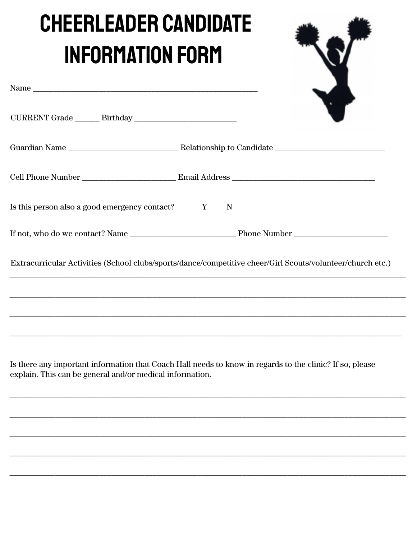# **CHEERLEADER CANDIDATE INFORMATION FORM**

| Name $\_$                                                                                                                                                                                       |  |
|-------------------------------------------------------------------------------------------------------------------------------------------------------------------------------------------------|--|
|                                                                                                                                                                                                 |  |
|                                                                                                                                                                                                 |  |
|                                                                                                                                                                                                 |  |
|                                                                                                                                                                                                 |  |
|                                                                                                                                                                                                 |  |
| Extracurricular Activities (School clubs/sports/dance/competitive cheer/Girl Scouts/volunteer/church etc.)<br>,我们也不能会有什么。""我们的人,我们也不能会有什么?""我们的人,我们也不能会有什么?""我们的人,我们也不能会有什么?""我们的人,我们也不能会有什么?"" |  |
| Is there any important information that Coach Hall needs to know in regards to the clinic? If so, please<br>explain. This can be general and/or medical information.                            |  |
|                                                                                                                                                                                                 |  |
|                                                                                                                                                                                                 |  |
|                                                                                                                                                                                                 |  |
|                                                                                                                                                                                                 |  |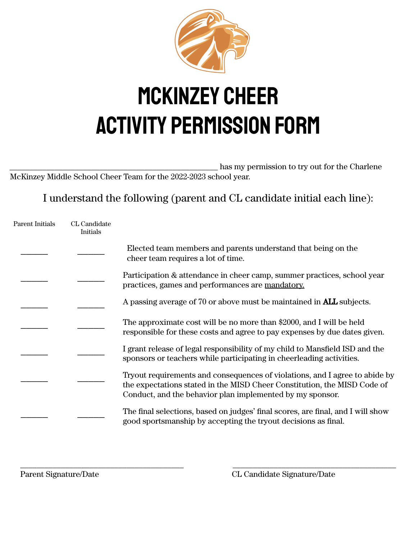

## McKinzey Cheer Activity Permission Form

\_\_\_\_\_\_\_\_\_\_\_\_\_\_\_\_\_\_\_\_\_\_\_\_\_\_\_\_\_\_\_\_\_\_\_\_\_\_\_\_\_\_\_\_\_\_\_\_\_\_\_ has my permission to try out for the Charlene McKinzey Middle School Cheer Team for the 2022-2023 school year.

I understand the following (parent and CL candidate initial each line):

| Parent Initials | CL Candidate<br>Initials |                                                                                                                                                                                                                      |
|-----------------|--------------------------|----------------------------------------------------------------------------------------------------------------------------------------------------------------------------------------------------------------------|
|                 |                          | Elected team members and parents understand that being on the<br>cheer team requires a lot of time.                                                                                                                  |
|                 |                          | Participation & attendance in cheer camp, summer practices, school year<br>practices, games and performances are mandatory.                                                                                          |
|                 |                          | A passing average of 70 or above must be maintained in <b>ALL</b> subjects.                                                                                                                                          |
|                 |                          | The approximate cost will be no more than \$2000, and I will be held<br>responsible for these costs and agree to pay expenses by due dates given.                                                                    |
|                 |                          | I grant release of legal responsibility of my child to Mansfield ISD and the<br>sponsors or teachers while participating in cheerleading activities.                                                                 |
|                 |                          | Tryout requirements and consequences of violations, and I agree to abide by<br>the expectations stated in the MISD Cheer Constitution, the MISD Code of<br>Conduct, and the behavior plan implemented by my sponsor. |
|                 |                          | The final selections, based on judges' final scores, are final, and I will show<br>good sportsmanship by accepting the tryout decisions as final.                                                                    |